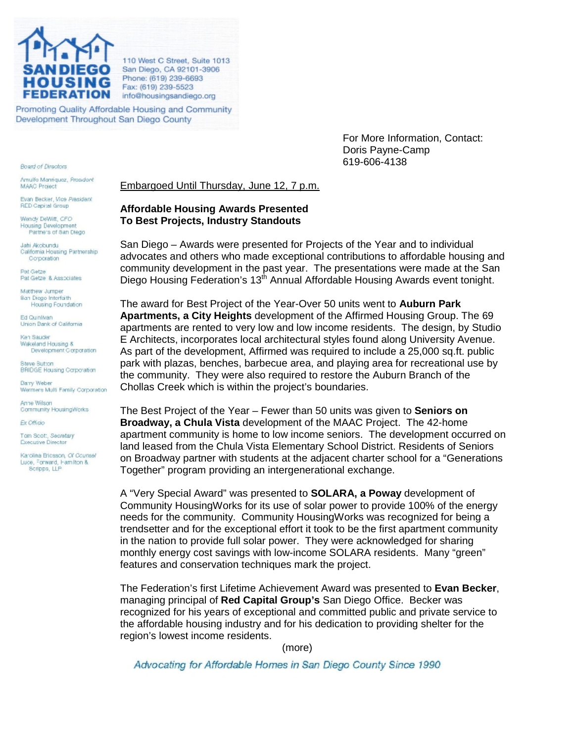

110 West C Street, Suite 1013 San Diego, CA 92101-3906 Phone: (619) 239-6693 Fax: (619) 239-5523 info@housingsandiego.org

Promoting Quality Affordable Housing and Community Development Throughout San Diego County

> For More Information, Contact: Doris Payne-Camp 619-606-4138

Embargoed Until Thursday, June 12, 7 p.m.

## **Affordable Housing Awards Presented To Best Projects, Industry Standouts**

San Diego – Awards were presented for Projects of the Year and to individual advocates and others who made exceptional contributions to affordable housing and community development in the past year. The presentations were made at the San Diego Housing Federation's 13<sup>th</sup> Annual Affordable Housing Awards event tonight.

The award for Best Project of the Year-Over 50 units went to **Auburn Park Apartments, a City Heights** development of the Affirmed Housing Group. The 69 apartments are rented to very low and low income residents. The design, by Studio E Architects, incorporates local architectural styles found along University Avenue. As part of the development, Affirmed was required to include a 25,000 sq.ft. public park with plazas, benches, barbecue area, and playing area for recreational use by the community. They were also required to restore the Auburn Branch of the Chollas Creek which is within the project's boundaries.

The Best Project of the Year – Fewer than 50 units was given to **Seniors on Broadway, a Chula Vista** development of the MAAC Project. The 42-home apartment community is home to low income seniors. The development occurred on land leased from the Chula Vista Elementary School District. Residents of Seniors on Broadway partner with students at the adjacent charter school for a "Generations Together" program providing an intergenerational exchange.

A "Very Special Award" was presented to **SOLARA, a Poway** development of Community HousingWorks for its use of solar power to provide 100% of the energy needs for the community. Community HousingWorks was recognized for being a trendsetter and for the exceptional effort it took to be the first apartment community in the nation to provide full solar power. They were acknowledged for sharing monthly energy cost savings with low-income SOLARA residents. Many "green" features and conservation techniques mark the project.

The Federation's first Lifetime Achievement Award was presented to **Evan Becker**, managing principal of **Red Capital Group's** San Diego Office. Becker was recognized for his years of exceptional and committed public and private service to the affordable housing industry and for his dedication to providing shelter for the region's lowest income residents.

(more)

Advocating for Affordable Homes in San Diego County Since 1990

**Board of Directors** Amulfo Manriquez, Propident

**MAAC Project** 

Evan Becker, Vice President **RED Capital Group** 

Wendy DeWitt, CFO **Housing Development** Partners of San Diego

Jahi Akobundu California Housing Partnership Corporation

Pat Getze Pat Getze & Associates

Matthew Jumper **Ban Diego Interfaith** Housing Foundation

Ed Qu'nitvan Union Dank of California

Ken Sauder Wakeland Housing & Development Corporation

**Steve Button BRIDGE Housing Carporation** 

**Barry Weber** Wermers Multi Family Corporation

Anne Wilson Community HousingWorks

Ex Officio

Tom Scott, Secretary Executive Director

Karolina Bricsson, Of Counsel Luce, Forward, Hamilton & Scripps, LLP